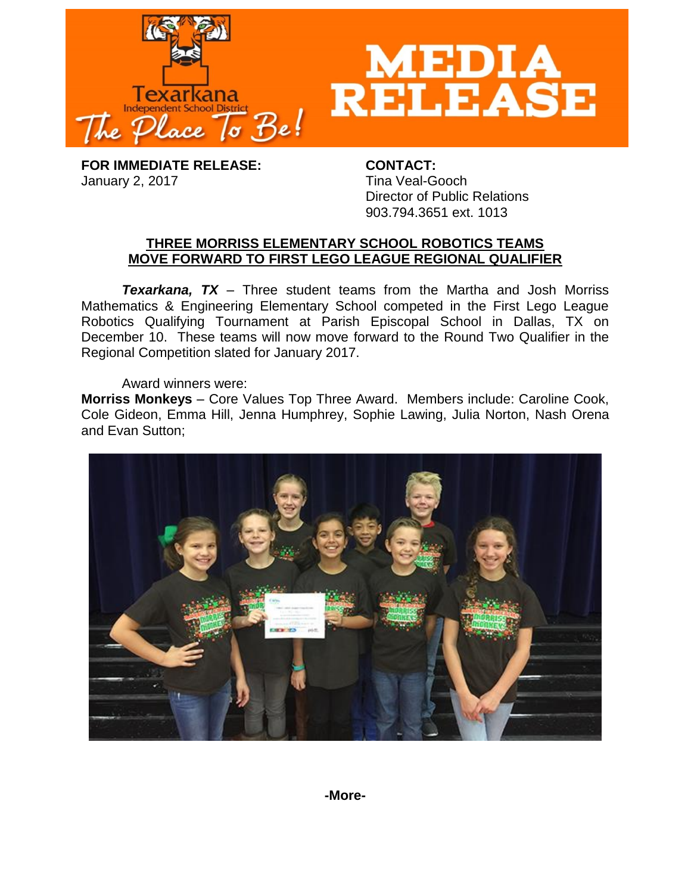

**FOR IMMEDIATE RELEASE: CONTACT:** January 2, 2017 **Tina Veal-Gooch** 

Director of Public Relations 903.794.3651 ext. 1013

# **THREE MORRISS ELEMENTARY SCHOOL ROBOTICS TEAMS MOVE FORWARD TO FIRST LEGO LEAGUE REGIONAL QUALIFIER**

*Texarkana, TX* – Three student teams from the Martha and Josh Morriss Mathematics & Engineering Elementary School competed in the First Lego League Robotics Qualifying Tournament at Parish Episcopal School in Dallas, TX on December 10. These teams will now move forward to the Round Two Qualifier in the Regional Competition slated for January 2017.

Award winners were:

**Morriss Monkeys** – Core Values Top Three Award. Members include: Caroline Cook, Cole Gideon, Emma Hill, Jenna Humphrey, Sophie Lawing, Julia Norton, Nash Orena and Evan Sutton;

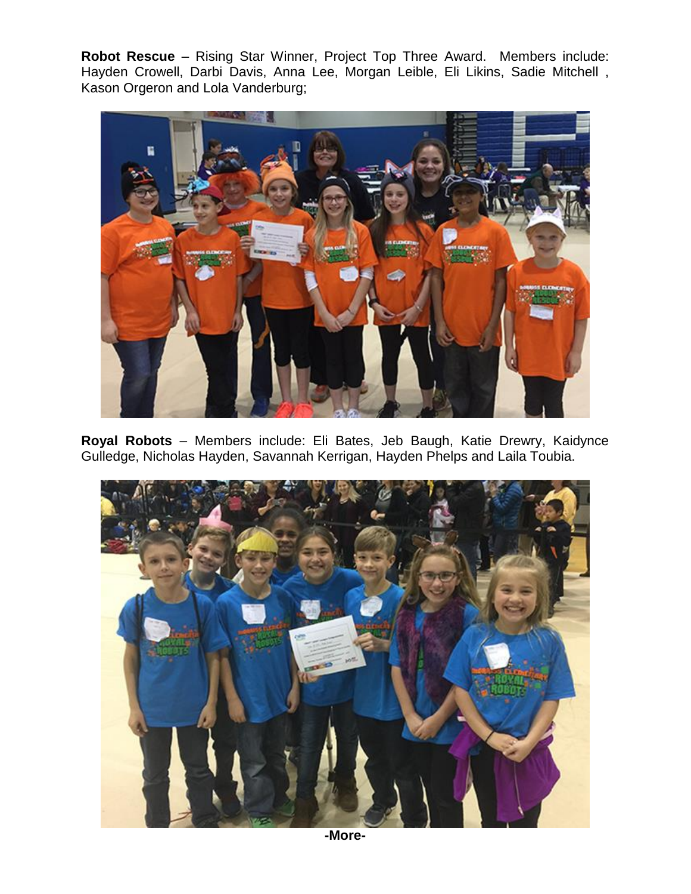**Robot Rescue** – Rising Star Winner, Project Top Three Award. Members include: Hayden Crowell, Darbi Davis, Anna Lee, Morgan Leible, Eli Likins, Sadie Mitchell , Kason Orgeron and Lola Vanderburg;



**Royal Robots** – Members include: Eli Bates, Jeb Baugh, Katie Drewry, Kaidynce Gulledge, Nicholas Hayden, Savannah Kerrigan, Hayden Phelps and Laila Toubia.